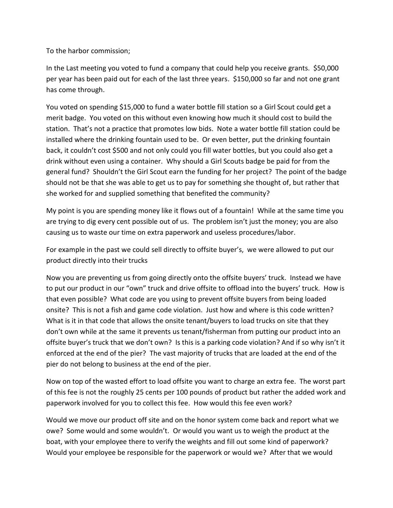To the harbor commission;

In the Last meeting you voted to fund a company that could help you receive grants. \$50,000 per year has been paid out for each of the last three years. \$150,000 so far and not one grant has come through.

You voted on spending \$15,000 to fund a water bottle fill station so a Girl Scout could get a merit badge. You voted on this without even knowing how much it should cost to build the station. That's not a practice that promotes low bids. Note a water bottle fill station could be installed where the drinking fountain used to be. Or even better, put the drinking fountain back, it couldn't cost \$500 and not only could you fill water bottles, but you could also get a drink without even using a container. Why should a Girl Scouts badge be paid for from the general fund? Shouldn't the Girl Scout earn the funding for her project? The point of the badge should not be that she was able to get us to pay for something she thought of, but rather that she worked for and supplied something that benefited the community?

My point is you are spending money like it flows out of a fountain! While at the same time you are trying to dig every cent possible out of us. The problem isn't just the money; you are also causing us to waste our time on extra paperwork and useless procedures/labor.

For example in the past we could sell directly to offsite buyer's, we were allowed to put our product directly into their trucks

Now you are preventing us from going directly onto the offsite buyers' truck. Instead we have to put our product in our "own" truck and drive offsite to offload into the buyers' truck. How is that even possible? What code are you using to prevent offsite buyers from being loaded onsite? This is not a fish and game code violation. Just how and where is this code written? What is it in that code that allows the onsite tenant/buyers to load trucks on site that they don't own while at the same it prevents us tenant/fisherman from putting our product into an offsite buyer's truck that we don't own? Is this is a parking code violation? And if so why isn't it enforced at the end of the pier? The vast majority of trucks that are loaded at the end of the pier do not belong to business at the end of the pier.

Now on top of the wasted effort to load offsite you want to charge an extra fee. The worst part of this fee is not the roughly 25 cents per 100 pounds of product but rather the added work and paperwork involved for you to collect this fee. How would this fee even work?

Would we move our product off site and on the honor system come back and report what we owe? Some would and some wouldn't. Or would you want us to weigh the product at the boat, with your employee there to verify the weights and fill out some kind of paperwork? Would your employee be responsible for the paperwork or would we? After that we would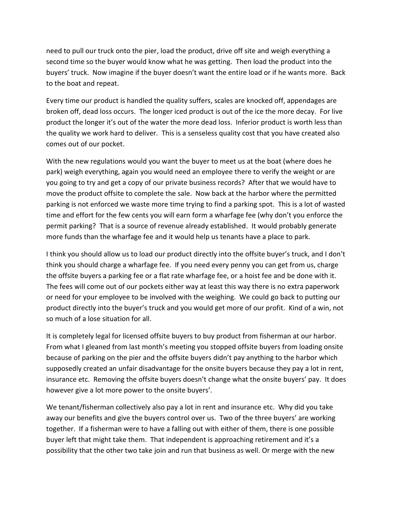need to pull our truck onto the pier, load the product, drive off site and weigh everything a second time so the buyer would know what he was getting. Then load the product into the buyers' truck. Now imagine if the buyer doesn't want the entire load or if he wants more. Back to the boat and repeat.

Every time our product is handled the quality suffers, scales are knocked off, appendages are broken off, dead loss occurs. The longer iced product is out of the ice the more decay. For live product the longer it's out of the water the more dead loss. Inferior product is worth less than the quality we work hard to deliver. This is a senseless quality cost that you have created also comes out of our pocket.

With the new regulations would you want the buyer to meet us at the boat (where does he park) weigh everything, again you would need an employee there to verify the weight or are you going to try and get a copy of our private business records? After that we would have to move the product offsite to complete the sale. Now back at the harbor where the permitted parking is not enforced we waste more time trying to find a parking spot. This is a lot of wasted time and effort for the few cents you will earn form a wharfage fee (why don't you enforce the permit parking? That is a source of revenue already established. It would probably generate more funds than the wharfage fee and it would help us tenants have a place to park.

I think you should allow us to load our product directly into the offsite buyer's truck, and I don't think you should charge a wharfage fee. If you need every penny you can get from us, charge the offsite buyers a parking fee or a flat rate wharfage fee, or a hoist fee and be done with it. The fees will come out of our pockets either way at least this way there is no extra paperwork or need for your employee to be involved with the weighing. We could go back to putting our product directly into the buyer's truck and you would get more of our profit. Kind of a win, not so much of a lose situation for all.

It is completely legal for licensed offsite buyers to buy product from fisherman at our harbor. From what I gleaned from last month's meeting you stopped offsite buyers from loading onsite because of parking on the pier and the offsite buyers didn't pay anything to the harbor which supposedly created an unfair disadvantage for the onsite buyers because they pay a lot in rent, insurance etc. Removing the offsite buyers doesn't change what the onsite buyers' pay. It does however give a lot more power to the onsite buyers'.

We tenant/fisherman collectively also pay a lot in rent and insurance etc. Why did you take away our benefits and give the buyers control over us. Two of the three buyers' are working together. If a fisherman were to have a falling out with either of them, there is one possible buyer left that might take them. That independent is approaching retirement and it's a possibility that the other two take join and run that business as well. Or merge with the new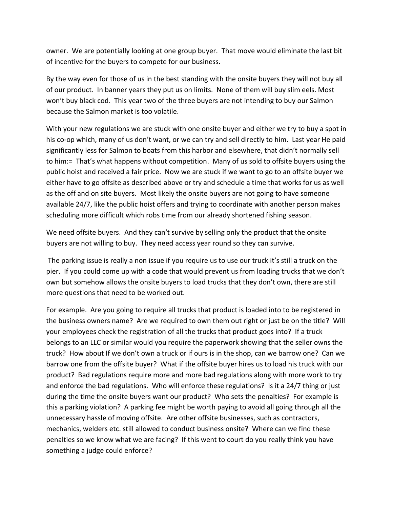owner. We are potentially looking at one group buyer. That move would eliminate the last bit of incentive for the buyers to compete for our business.

By the way even for those of us in the best standing with the onsite buyers they will not buy all of our product. In banner years they put us on limits. None of them will buy slim eels. Most won't buy black cod. This year two of the three buyers are not intending to buy our Salmon because the Salmon market is too volatile.

With your new regulations we are stuck with one onsite buyer and either we try to buy a spot in his co-op which, many of us don't want, or we can try and sell directly to him. Last year He paid significantly less for Salmon to boats from this harbor and elsewhere, that didn't normally sell to him:= That's what happens without competition. Many of us sold to offsite buyers using the public hoist and received a fair price. Now we are stuck if we want to go to an offsite buyer we either have to go offsite as described above or try and schedule a time that works for us as well as the off and on site buyers. Most likely the onsite buyers are not going to have someone available 24/7, like the public hoist offers and trying to coordinate with another person makes scheduling more difficult which robs time from our already shortened fishing season.

We need offsite buyers. And they can't survive by selling only the product that the onsite buyers are not willing to buy. They need access year round so they can survive.

The parking issue is really a non issue if you require us to use our truck it's still a truck on the pier. If you could come up with a code that would prevent us from loading trucks that we don't own but somehow allows the onsite buyers to load trucks that they don't own, there are still more questions that need to be worked out.

For example. Are you going to require all trucks that product is loaded into to be registered in the business owners name? Are we required to own them out right or just be on the title? Will your employees check the registration of all the trucks that product goes into? If a truck belongs to an LLC or similar would you require the paperwork showing that the seller owns the truck? How about If we don't own a truck or if ours is in the shop, can we barrow one? Can we barrow one from the offsite buyer? What if the offsite buyer hires us to load his truck with our product? Bad regulations require more and more bad regulations along with more work to try and enforce the bad regulations. Who will enforce these regulations? Is it a 24/7 thing or just during the time the onsite buyers want our product? Who sets the penalties? For example is this a parking violation? A parking fee might be worth paying to avoid all going through all the unnecessary hassle of moving offsite. Are other offsite businesses, such as contractors, mechanics, welders etc. still allowed to conduct business onsite? Where can we find these penalties so we know what we are facing? If this went to court do you really think you have something a judge could enforce?